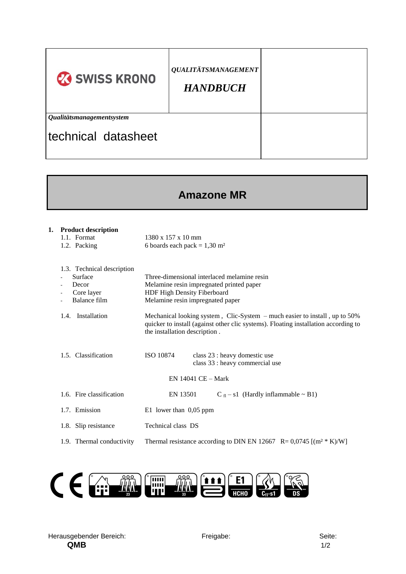| <b>23 SWISS KRONO</b>     | <b>QUALITÄTSMANAGEMENT</b><br><b>HANDBUCH</b> |  |
|---------------------------|-----------------------------------------------|--|
| Qualitätsmanagementsystem |                                               |  |
| Itechnical datasheet      |                                               |  |

## **Amazone MR**

| 1. Product description<br>1.1. Format<br>1.2. Packing                                          | $1380 \times 157 \times 10 \text{ mm}$<br>6 boards each pack = $1,30$ m <sup>2</sup>                                                                                                                 |  |  |  |
|------------------------------------------------------------------------------------------------|------------------------------------------------------------------------------------------------------------------------------------------------------------------------------------------------------|--|--|--|
| 1.3. Technical description<br>Surface<br>Decor<br>Core layer<br>$\blacksquare$<br>Balance film | Three-dimensional interlaced melamine resin<br>Melamine resin impregnated printed paper<br>HDF High Density Fiberboard<br>Melamine resin impregnated paper                                           |  |  |  |
| 1.4. Installation                                                                              | Mechanical looking system, Clic-System $-$ much easier to install, up to 50%<br>quicker to install (against other clic systems). Floating installation according to<br>the installation description. |  |  |  |
| 1.5. Classification                                                                            | <b>ISO 10874</b><br>class 23 : heavy domestic use<br>class 33 : heavy commercial use                                                                                                                 |  |  |  |
| $EN$ 14041 $CE - Mark$                                                                         |                                                                                                                                                                                                      |  |  |  |
| 1.6. Fire classification                                                                       | $C_{fl} - s1$ (Hardly inflammable ~ B1)<br>EN 13501                                                                                                                                                  |  |  |  |
| 1.7. Emission                                                                                  | E1 lower than $0,05$ ppm                                                                                                                                                                             |  |  |  |
| 1.8. Slip resistance                                                                           | Technical class DS                                                                                                                                                                                   |  |  |  |
| 1.9. Thermal conductivity                                                                      | Thermal resistance according to DIN EN 12667 R= $0.0745$ [(m <sup>2</sup> * K)/W]                                                                                                                    |  |  |  |